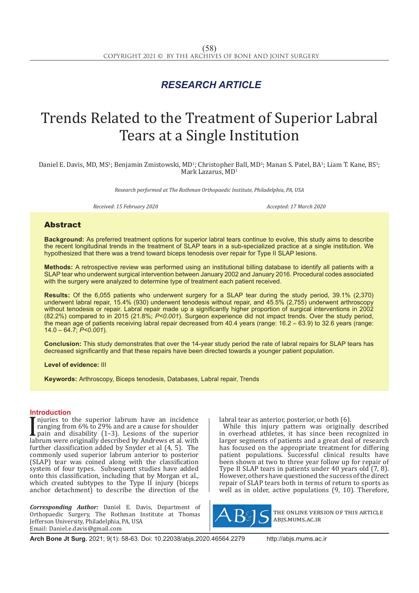# *RESEARCH ARTICLE*

# Trends Related to the Treatment of Superior Labral Tears at a Single Institution

Daniel E. Davis, MD, MS<sup>1</sup>; Benjamin Zmistowski, MD<sup>1</sup>; Christopher Ball, MD<sup>1</sup>; Manan S. Patel, BA<sup>1</sup>; Liam T. Kane, BS<sup>1</sup>; Mark Lazarus, MD<sup>1</sup>

*Research performed at The Rothman Orthopaedic Institute, Philadelphia, PA, USA*

*Received: 15 February 2020 Accepted: 17 March 2020*

## Abstract

**Background:** As preferred treatment options for superior labral tears continue to evolve, this study aims to describe the recent longitudinal trends in the treatment of SLAP tears in a sub-specialized practice at a single institution. We hypothesized that there was a trend toward biceps tenodesis over repair for Type II SLAP lesions.

**Methods:** A retrospective review was performed using an institutional billing database to identify all patients with a SLAP tear who underwent surgical intervention between January 2002 and January 2016. Procedural codes associated with the surgery were analyzed to determine type of treatment each patient received.

**Results:** Of the 6,055 patients who underwent surgery for a SLAP tear during the study period, 39.1% (2,370) underwent labral repair, 15.4% (930) underwent tenodesis without repair, and 45.5% (2,755) underwent arthroscopy without tenodesis or repair. Labral repair made up a significantly higher proportion of surgical interventions in 2002 (82.2%) compared to in 2015 (21.8%; *P<0.001*). Surgeon experience did not impact trends. Over the study period, the mean age of patients receiving labral repair decreased from 40.4 years (range: 16.2 – 63.9) to 32.6 years (range: 14.0 – 64.7; *P<0.001*).

**Conclusion:** This study demonstrates that over the 14-year study period the rate of labral repairs for SLAP tears has decreased significantly and that these repairs have been directed towards a younger patient population.

**Level of evidence:** III

**Keywords:** Arthroscopy, Biceps tenodesis, Databases, Labral repair, Trends

### **Introduction**

Injuries to the superior fabrum have an incidented<br>ranging from 6% to 29% and are a cause for shoulder<br>pain and disability (1–3). Lesions of the superior<br>labrum were originally described by Andrews et al. with<br>the custome njuries to the superior labrum have an incidence pain and disability (1–3). Lesions of the superior labrum were originally described by Andrews et al. with further classification added by Snyder et al (4, 5). The commonly used superior labrum anterior to posterior (SLAP) tear was coined along with the classification system of four types. Subsequent studies have added onto this classification, including that by Morgan et al., which created subtypes to the Type II injury (biceps anchor detachment) to describe the direction of the

*Corresponding Author:* Daniel E. Davis, Department of Orthopaedic Surgery, The Rothman Institute at Thomas Jefferson University, Philadelphia, PA, USA Email: Daniel.e.davis@gmail.com

labral tear as anterior, posterior, or both (6).

While this injury pattern was originally described in overhead athletes, it has since been recognized in larger segments of patients and a great deal of research has focused on the appropriate treatment for differing patient populations. Successful clinical results have been shown at two to three year follow up for repair of Type II SLAP tears in patients under 40 years old (7, 8). However, others have questioned the success of the direct repair of SLAP tears both in terms of return to sports as well as in older, active populations (9, 10). Therefore,



the online version of this article abjs.mums.ac.ir

**Arch Bone Jt Surg.** 2021; 9(1): 58-63. Doi: 10.22038/abjs.2020.46564.2279 http://abjs.mums.ac.ir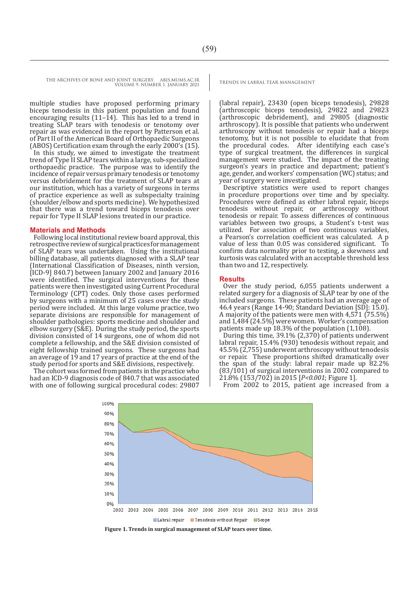multiple studies have proposed performing primary biceps tenodesis in this patient population and found encouraging results (11–14). This has led to a trend in treating SLAP tears with tenodesis or tenotomy over repair as was evidenced in the report by Patterson et al. of Part II of the American Board of Orthopaedic Surgeons (ABOS) Certification exam through the early 2000's (15).

In this study, we aimed to investigate the treatment trend of Type II SLAP tears within a large, sub-specialized orthopaedic practice. The purpose was to identify the incidence of repair versus primary tenodesis or tenotomy versus debridement for the treatment of SLAP tears at our institution, which has a variety of surgeons in terms of practice experience as well as subspecialty training (shoulder/elbow and sports medicine). We hypothesized that there was a trend toward biceps tenodesis over repair for Type II SLAP lesions treated in our practice.

#### **Materials and Methods**

Following local institutional review board approval, this retrospective review of surgical practices for management of SLAP tears was undertaken. Using the institutional billing database, all patients diagnosed with a SLAP tear (International Classification of Diseases, ninth version, [ICD-9] 840.7) between January 2002 and January 2016 were identified. The surgical interventions for these patients were then investigated using Current Procedural Terminology (CPT) codes. Only those cases performed by surgeons with a minimum of 25 cases over the study period were included. At this large volume practice, two separate divisions are responsible for management of shoulder pathologies: sports medicine and shoulder and elbow surgery (S&E). During the study period, the sports division consisted of 14 surgeons, one of whom did not complete a fellowship, and the S&E division consisted of eight fellowship trained surgeons. These surgeons had an average of 19 and 17 years of practice at the end of the study period for sports and S&E divisions, respectively.

The cohort was formed from patients in the practice who had an ICD-9 diagnosis code of 840.7 that was associated with one of following surgical procedural codes: 29807

(labral repair), 23430 (open biceps tenodesis), 29828 (arthroscopic biceps tenodesis), 29822 and 29823 (arthroscopic debridement), and 29805 (diagnostic arthroscopy). It is possible that patients who underwent arthroscopy without tenodesis or repair had a biceps tenotomy, but it is not possible to elucidate that from the procedural codes. After identifying each case's type of surgical treatment, the differences in surgical management were studied. The impact of the treating surgeon's years in practice and department; patient's age, gender, and workers' compensation (WC) status; and year of surgery were investigated.

Descriptive statistics were used to report changes in procedure proportions over time and by specialty. Procedures were defined as either labral repair, biceps tenodesis without repair, or arthroscopy without tenodesis or repair. To assess differences of continuous variables between two groups, a Student's t-test was utilized. For association of two continuous variables, a Pearson's correlation coefficient was calculated. A p value of less than 0.05 was considered significant. To confirm data normality prior to testing, a skewness and kurtosis was calculated with an acceptable threshold less than two and 12, respectively.

#### **Results**

Over the study period, 6,055 patients underwent a related surgery for a diagnosis of SLAP tear by one of the included surgeons. These patients had an average age of 46.4 years (Range 14-90; Standard Deviation [SD]: 15.0). A majority of the patients were men with 4,571 (75.5%) and 1,484 (24.5%) were women. Worker's compensation patients made up 18.3% of the population (1,108).

During this time, 39.1% (2,370) of patients underwent labral repair, 15.4% (930) tenodesis without repair, and 45.5% (2,755) underwent arthroscopy without tenodesis or repair. These proportions shifted dramatically over the span of the study: labral repair made up 82.2% (83/101) of surgical interventions in 2002 compared to 21.8% (153/702) in 2015 [*P<0.001*; Figure 1].

From 2002 to 2015, patient age increased from a



**Figure 1. Trends in surgical management of SLAP tears over time.**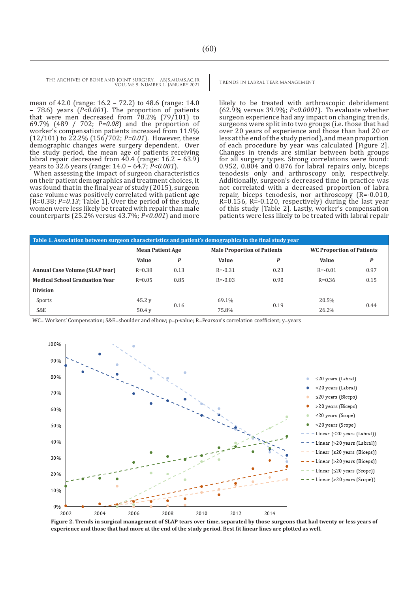mean of 42.0 (range: 16.2 – 72.2) to 48.6 (range: 14.0 – 78.6) years (*P<0.001*). The proportion of patients that were men decreased from 78.2% (79/101) to 69.7% (489 / 702; *P=0.08*) and the proportion of worker's compensation patients increased from 11.9% (12/101) to 22.2% (156/702; *P=0.01*). However, these demographic changes were surgery dependent. Over the study period, the mean age of patients receiving labral repair decreased from 40.4 (range: 16.2 – 63.9) years to 32.6 years (range: 14.0 – 64.7; *P<0.001*).

When assessing the impact of surgeon characteristics on their patient demographics and treatment choices, it was found that in the final year of study (2015), surgeon case volume was positively correlated with patient age [R=0.38; *P=0.13*; Table 1]. Over the period of the study, women were less likely be treated with repair than male counterparts (25.2% versus 43.7%; *P<0.001*) and more

likely to be treated with arthroscopic debridement (62.9% versus 39.9%; *P<0.0001*). To evaluate whether surgeon experience had any impact on changing trends, surgeons were split into two groups (i.e. those that had over 20 years of experience and those than had 20 or less at the end of the study period), and mean proportion of each procedure by year was calculated [Figure 2]. Changes in trends are similar between both groups for all surgery types. Strong correlations were found: 0.952, 0.804 and 0.876 for labral repairs only, biceps tenodesis only and arthroscopy only, respectively. Additionally, surgeon's decreased time in practice was not correlated with a decreased proportion of labra repair, biceps tenodesis, nor arthroscopy (R=-0.010, R=0.156, R=-0.120, respectively) during the last year of this study [Table 2]. Lastly, worker's compensation patients were less likely to be treated with labral repair

| Table 1. Association between surgeon characteristics and patient's demographics in the final study year |                         |                  |                                    |      |                                  |      |  |  |  |  |
|---------------------------------------------------------------------------------------------------------|-------------------------|------------------|------------------------------------|------|----------------------------------|------|--|--|--|--|
|                                                                                                         | <b>Mean Patient Age</b> |                  | <b>Male Proportion of Patients</b> |      | <b>WC Proportion of Patients</b> |      |  |  |  |  |
|                                                                                                         | Value                   | $\boldsymbol{P}$ | Value                              | P    | <b>Value</b>                     | P    |  |  |  |  |
| <b>Annual Case Volume (SLAP tear)</b>                                                                   | $R = 0.38$              | 0.13             | $R = -0.31$                        | 0.23 | $R = -0.01$                      | 0.97 |  |  |  |  |
| <b>Medical School Graduation Year</b>                                                                   | $R = 0.05$              | 0.85             | $R = -0.03$                        | 0.90 | $R = 0.36$                       | 0.15 |  |  |  |  |
| <b>Division</b>                                                                                         |                         |                  |                                    |      |                                  |      |  |  |  |  |
| Sports                                                                                                  | 45.2y                   | 0.16             | 69.1%                              |      | 20.5%                            | 0.44 |  |  |  |  |
| S&E                                                                                                     | $50.4$ y                |                  | 75.8%                              | 0.19 | 26.2%                            |      |  |  |  |  |

WC= Workers' Compensation; S&E=shoulder and elbow; p=p-value; R=Pearson's correlation coefficient; y=years



**Figure 2. Trends in surgical management of SLAP tears over time, separated by those surgeons that had twenty or less years of experience and those that had more at the end of the study period. Best fit linear lines are plotted as well.**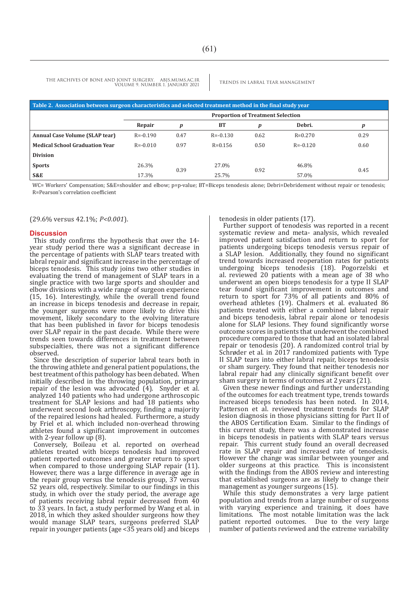| Table 2. Association between surgeon characteristics and selected treatment method in the final study year |                                          |      |              |      |              |      |  |  |  |  |
|------------------------------------------------------------------------------------------------------------|------------------------------------------|------|--------------|------|--------------|------|--|--|--|--|
|                                                                                                            | <b>Proportion of Treatment Selection</b> |      |              |      |              |      |  |  |  |  |
|                                                                                                            | Repair                                   | p    | <b>BT</b>    | p    | Debri.       |      |  |  |  |  |
| Annual Case Volume (SLAP tear)                                                                             | $R = -0.190$                             | 0.47 | $R = -0.130$ | 0.62 | $R = 0.270$  | 0.29 |  |  |  |  |
| <b>Medical School Graduation Year</b>                                                                      | $R = -0.010$                             | 0.97 | $R = 0.156$  | 0.50 | $R = -0.120$ | 0.60 |  |  |  |  |
| <b>Division</b>                                                                                            |                                          |      |              |      |              |      |  |  |  |  |
| <b>Sports</b>                                                                                              | 26.3%                                    |      | 27.0%        |      | 46.8%        |      |  |  |  |  |
| S&E                                                                                                        | 17.3%                                    | 0.39 | 25.7%        | 0.92 | 57.0%        | 0.45 |  |  |  |  |

WC= Workers' Compensation; S&E=shoulder and elbow; p=p-value; BT=Biceps tenodesis alone; Debri=Debridement without repair or tenodesis; R=Pearson's correlation coefficient

(29.6% versus 42.1%; *P<0.001*).

#### **Discussion**

This study confirms the hypothesis that over the 14 year study period there was a significant decrease in the percentage of patients with SLAP tears treated with labral repair and significant increase in the percentage of biceps tenodesis. This study joins two other studies in evaluating the trend of management of SLAP tears in a single practice with two large sports and shoulder and elbow divisions with a wide range of surgeon experience (15, 16). Interestingly, while the overall trend found an increase in biceps tenodesis and decrease in repair, the younger surgeons were more likely to drive this movement, likely secondary to the evolving literature that has been published in favor for biceps tenodesis over SLAP repair in the past decade. While there were trends seen towards differences in treatment between subspecialties, there was not a significant difference observed.

Since the description of superior labral tears both in the throwing athlete and general patient populations, the best treatment of this pathology has been debated. When initially described in the throwing population, primary repair of the lesion was advocated (4). Snyder et al. analyzed 140 patients who had undergone arthroscopic treatment for SLAP lesions and had 18 patients who underwent second look arthroscopy, finding a majority of the repaired lesions had healed. Furthermore, a study by Friel et al. which included non-overhead throwing athletes found a significant improvement in outcomes with 2-year follow up (8).

Conversely, Boileau et al. reported on overhead athletes treated with biceps tenodesis had improved patient reported outcomes and greater return to sport when compared to those undergoing SLAP repair (11). However, there was a large difference in average age in the repair group versus the tenodesis group, 37 versus 52 years old, respectively. Similar to our findings in this study, in which over the study period, the average age of patients receiving labral repair decreased from 40 to 33 years. In fact, a study performed by Wang et al. in 2018, in which they asked shoulder surgeons how they would manage SLAP tears, surgeons preferred SLAP repair in younger patients (age <35 years old) and biceps tenodesis in older patients (17).

Further support of tenodesis was reported in a recent systematic review and meta- analysis, which revealed improved patient satisfaction and return to sport for patients undergoing biceps tenodesis versus repair of a SLAP lesion. Additionally, they found no significant trend towards increased reoperation rates for patients undergoing biceps tenodesis (18). Pogorzelski et al. reviewed 20 patients with a mean age of 38 who underwent an open biceps tenodesis for a type II SLAP tear found significant improvement in outcomes and return to sport for 73% of all patients and 80% of overhead athletes (19). Chalmers et al. evaluated 86 patients treated with either a combined labral repair and biceps tenodesis, labral repair alone or tenodesis alone for SLAP lesions. They found significantly worse outcome scores in patients that underwent the combined procedure compared to those that had an isolated labral repair or tenodesis (20). A randomized control trial by Schrøder et al. in 2017 randomized patients with Type II SLAP tears into either labral repair, biceps tenodesis or sham surgery. They found that neither tenodesis nor labral repair had any clinically significant benefit over sham surgery in terms of outcomes at 2 years (21).

Given these newer findings and further understanding of the outcomes for each treatment type, trends towards increased biceps tenodesis has been noted. In 2014, Patterson et al. reviewed treatment trends for SLAP lesion diagnosis in those physicians sitting for Part II of the ABOS Certification Exam. Similar to the findings of this current study, there was a demonstrated increase in biceps tenodesis in patients with SLAP tears versus repair. This current study found an overall decreased rate in SLAP repair and increased rate of tenodesis. However the change was similar between younger and older surgeons at this practice. This is inconsistent with the findings from the ABOS review and interesting that established surgeons are as likely to change their management as younger surgeons (15).

While this study demonstrates a very large patient population and trends from a large number of surgeons with varying experience and training, it does have limitations. The most notable limitation was the lack patient reported outcomes. Due to the very large number of patients reviewed and the extreme variability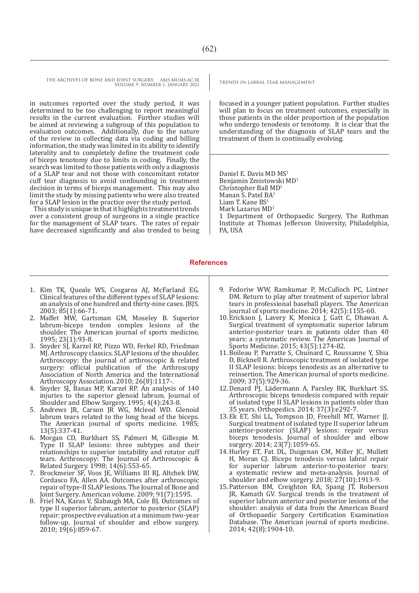in outcomes reported over the study period, it was determined to be too challenging to report meaningful results in the current evaluation. Further studies will be aimed at reviewing a subgroup of this population to evaluation outcomes. Additionally, due to the nature of the review in collecting data via coding and billing information, the study was limited in its ability to identify laterality and to completely define the treatment code of biceps tenotomy due to limits in coding. Finally, the search was limited to those patients with only a diagnosis of a SLAP tear and not those with concomitant rotator cuff tear diagnosis to avoid confounding in treatment decision in terms of biceps management. This may also limit the study by missing patients who were also treated for a SLAP lesion in the practice over the study period.

This study is unique in that it highlights treatment trends over a consistent group of surgeons in a single practice for the management of SLAP tears. The rates of repair have decreased significantly and also trended to being

focused in a younger patient population. Further studies will plan to focus on treatment outcomes, especially in those patients in the older proportion of the population who undergo tenodesis or tenotomy. It is clear that the understanding of the diagnosis of SLAP tears and the treatment of them is continually evolving.

Daniel E. Davis MD MS<sup>1</sup> Benjamin Zmistowski MD<sup>1</sup> Christopher Ball MD<sup>1</sup> Manan S. Patel BA<sup>1</sup> Liam T. Kane BS<sup>1</sup> Mark Lazarus MD<sup>1</sup> 1 Department of Orthopaedic Surgery, The Rothman Institute at Thomas Jefferson University, Philadelphia, PA, USA

#### **References**

- 1. Kim TK, Queale WS, Cosgarea AJ, McFarland EG. Clinical features of the different types of SLAP lesions: an analysis of one hundred and thirty-nine cases. JBJS. 2003; 85(1):66-71.
- 2. Maffet MW, Gartsman GM, Moseley B. Superior labrum-biceps tendon complex lesions of the shoulder. The American journal of sports medicine. 1995; 23(1):93-8.
- 3. Snyder SJ, Karzel RP, Pizzo WD, Ferkel RD, Friedman MJ. Arthroscopy classics. SLAP lesions of the shoulder. Arthroscopy: the journal of arthroscopic & related surgery: official publication of the Arthroscopy Association of North America and the International Arthroscopy Association. 2010; 26(8):1117-.
- 4. Snyder SJ, Banas MP, Karzel RP. An analysis of 140 injuries to the superior glenoid labrum. Journal of Shoulder and Elbow Surgery. 1995; 4(4):243-8.
- 5. Andrews JR, Carson JR WG, Mcleod WD. Glenoid labrum tears related to the long head of the biceps. The American journal of sports medicine. 1985; 13(5):337-41.
- 6. Morgan CD, Burkhart SS, Palmeri M, Gillespie M. Type II SLAP lesions: three subtypes and their relationships to superior instability and rotator cuff tears. Arthroscopy: The Journal of Arthroscopic & Related Surgery. 1998; 14(6):553-65.
- 7. Brockmeier SF, Voos JE, Williams III RJ, Altchek DW, Cordasco FA, Allen AA. Outcomes after arthroscopic repair of type-II SLAP lesions. The Journal of Bone and Joint Surgery. American volume. 2009; 91(7):1595.
- 8. Friel NA, Karas V, Slabaugh MA, Cole BJ. Outcomes of type II superior labrum, anterior to posterior (SLAP) repair: prospective evaluation at a minimum two-year follow-up. Journal of shoulder and elbow surgery. 2010; 19(6):859-67.
- 9. Fedoriw WW, Ramkumar P, McCulloch PC, Lintner DM. Return to play after treatment of superior labral tears in professional baseball players. The American journal of sports medicine. 2014; 42(5):1155-60.
- 10.Erickson J, Lavery K, Monica J, Gatt C, Dhawan A. Surgical treatment of symptomatic superior labrum anterior-posterior tears in patients older than 40 years: a systematic review. The American Journal of Sports Medicine. 2015; 43(5):1274-82.
- 11.Boileau P, Parratte S, Chuinard C, Roussanne Y, Shia D, Bicknell R. Arthroscopic treatment of isolated type II SLAP lesions: biceps tenodesis as an alternative to reinsertion. The American journal of sports medicine. 2009; 37(5):929-36.
- 12.Denard PJ, Lädermann A, Parsley BK, Burkhart SS. Arthroscopic biceps tenodesis compared with repair of isolated type II SLAP lesions in patients older than 35 years. Orthopedics. 2014; 37(3):e292-7.
- 13.Ek ET, Shi LL, Tompson JD, Freehill MT, Warner JJ. Surgical treatment of isolated type II superior labrum anterior-posterior (SLAP) lesions: repair versus biceps tenodesis. Journal of shoulder and elbow surgery. 2014; 23(7):1059-65.
- 14.Hurley ET, Fat DL, Duigenan CM, Miller JC, Mullett H, Moran CJ. Biceps tenodesis versus labral repair for superior labrum anterior-to-posterior tears: a systematic review and meta-analysis. Journal of shoulder and elbow surgery. 2018; 27(10):1913-9.
- 15.Patterson BM, Creighton RA, Spang JT, Roberson JR, Kamath GV. Surgical trends in the treatment of superior labrum anterior and posterior lesions of the shoulder: analysis of data from the American Board of Orthopaedic Surgery Certification Examination Database. The American journal of sports medicine. 2014; 42(8):1904-10.